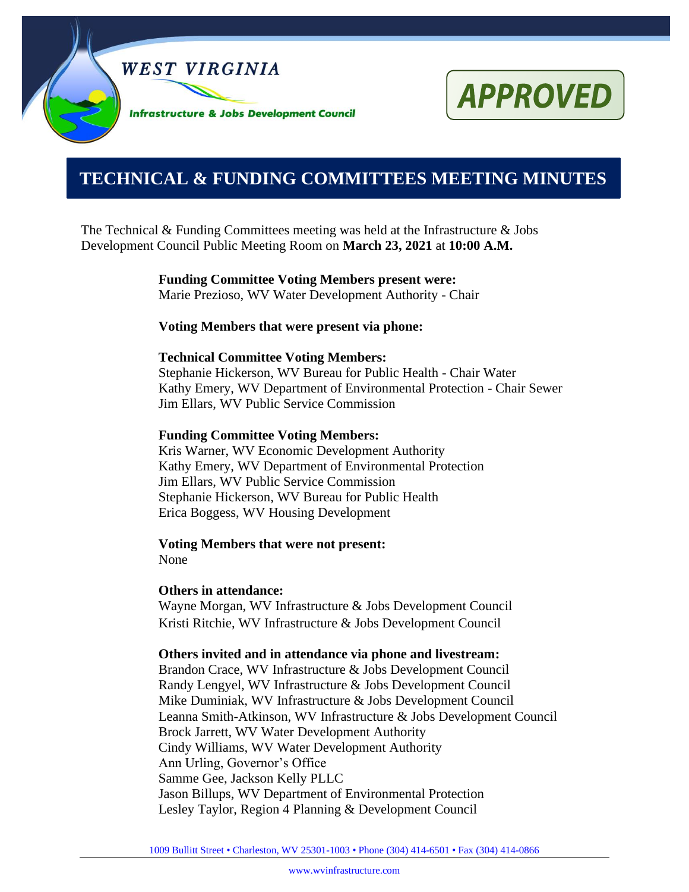

# **APPROVED**

## **0000000000000000000000000000000000000000000000000000. TECHNICAL & FUNDING COMMITTEES MEETING MINUTES**

The Technical & Funding Committees meeting was held at the Infrastructure  $\&$  Jobs Development Council Public Meeting Room on **March 23, 2021** at **10:00 A.M.**

> **Funding Committee Voting Members present were:** Marie Prezioso, WV Water Development Authority - Chair

#### **Voting Members that were present via phone:**

#### **Technical Committee Voting Members:**

Stephanie Hickerson, WV Bureau for Public Health - Chair Water Kathy Emery, WV Department of Environmental Protection - Chair Sewer Jim Ellars, WV Public Service Commission

#### **Funding Committee Voting Members:**

Kris Warner, WV Economic Development Authority Kathy Emery, WV Department of Environmental Protection Jim Ellars, WV Public Service Commission Stephanie Hickerson, WV Bureau for Public Health Erica Boggess, WV Housing Development

**Voting Members that were not present:** None

#### **Others in attendance:**

Wayne Morgan, WV Infrastructure & Jobs Development Council Kristi Ritchie, WV Infrastructure & Jobs Development Council

#### **Others invited and in attendance via phone and livestream:**

Brandon Crace, WV Infrastructure & Jobs Development Council Randy Lengyel, WV Infrastructure & Jobs Development Council Mike Duminiak, WV Infrastructure & Jobs Development Council Leanna Smith-Atkinson, WV Infrastructure & Jobs Development Council Brock Jarrett, WV Water Development Authority Cindy Williams, WV Water Development Authority Ann Urling, Governor's Office Samme Gee, Jackson Kelly PLLC Jason Billups, WV Department of Environmental Protection Lesley Taylor, Region 4 Planning & Development Council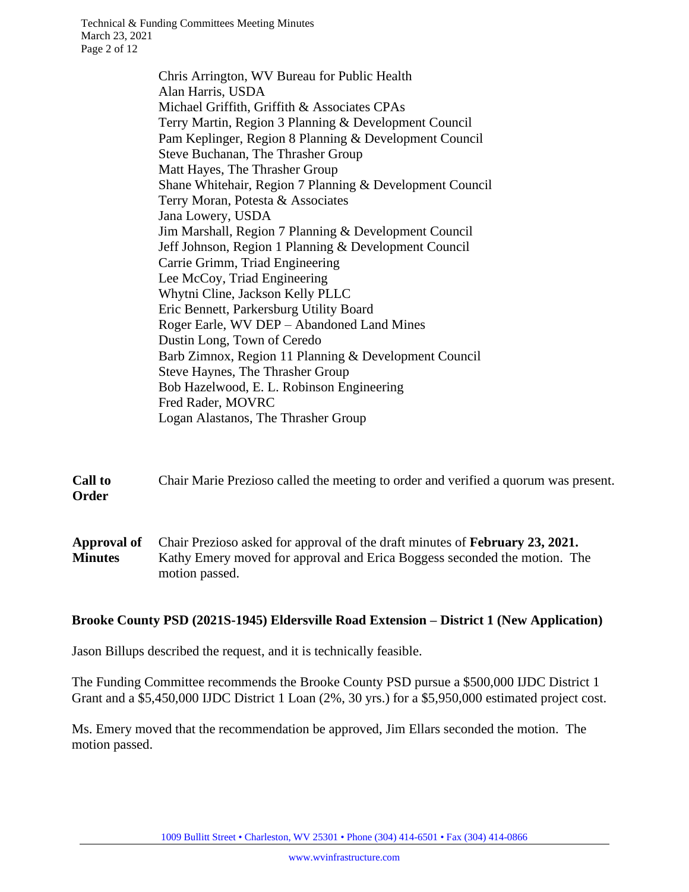Chris Arrington, WV Bureau for Public Health Alan Harris, USDA Michael Griffith, Griffith & Associates CPAs Terry Martin, Region 3 Planning & Development Council Pam Keplinger, Region 8 Planning & Development Council Steve Buchanan, The Thrasher Group Matt Hayes, The Thrasher Group Shane Whitehair, Region 7 Planning & Development Council Terry Moran, Potesta & Associates Jana Lowery, USDA Jim Marshall, Region 7 Planning & Development Council Jeff Johnson, Region 1 Planning & Development Council Carrie Grimm, Triad Engineering Lee McCoy, Triad Engineering Whytni Cline, Jackson Kelly PLLC Eric Bennett, Parkersburg Utility Board Roger Earle, WV DEP – Abandoned Land Mines Dustin Long, Town of Ceredo Barb Zimnox, Region 11 Planning & Development Council Steve Haynes, The Thrasher Group Bob Hazelwood, E. L. Robinson Engineering Fred Rader, MOVRC Logan Alastanos, The Thrasher Group

**Call to Order** Chair Marie Prezioso called the meeting to order and verified a quorum was present.

**Approval of Minutes** Chair Prezioso asked for approval of the draft minutes of **February 23, 2021.**  Kathy Emery moved for approval and Erica Boggess seconded the motion. The motion passed.

#### **Brooke County PSD (2021S-1945) Eldersville Road Extension – District 1 (New Application)**

Jason Billups described the request, and it is technically feasible.

The Funding Committee recommends the Brooke County PSD pursue a \$500,000 IJDC District 1 Grant and a \$5,450,000 IJDC District 1 Loan (2%, 30 yrs.) for a \$5,950,000 estimated project cost.

Ms. Emery moved that the recommendation be approved, Jim Ellars seconded the motion. The motion passed.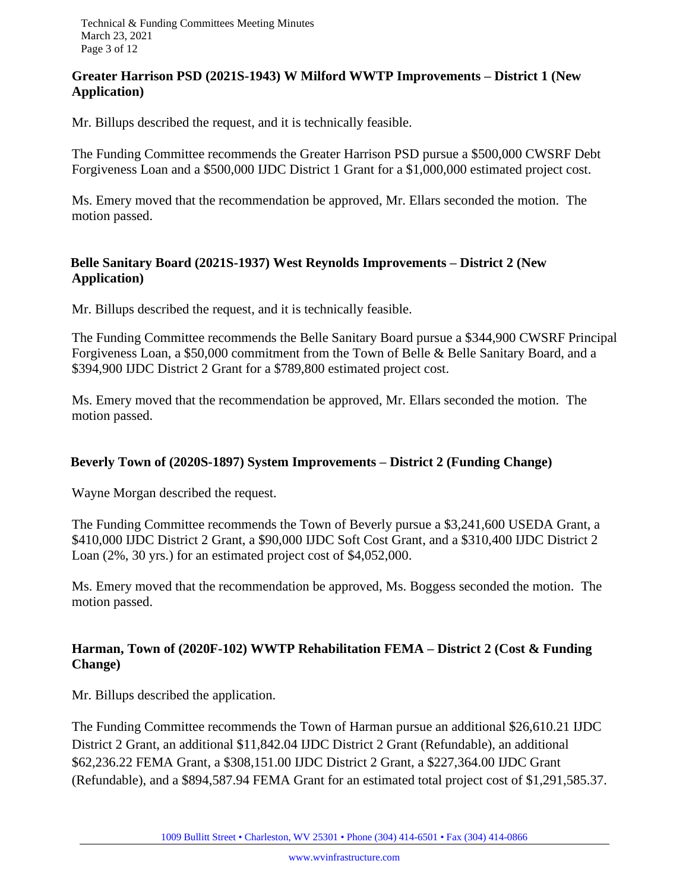#### **Greater Harrison PSD (2021S-1943) W Milford WWTP Improvements – District 1 (New Application)**

Mr. Billups described the request, and it is technically feasible.

The Funding Committee recommends the Greater Harrison PSD pursue a \$500,000 CWSRF Debt Forgiveness Loan and a \$500,000 IJDC District 1 Grant for a \$1,000,000 estimated project cost.

Ms. Emery moved that the recommendation be approved, Mr. Ellars seconded the motion. The motion passed.

#### **Belle Sanitary Board (2021S-1937) West Reynolds Improvements – District 2 (New Application)**

Mr. Billups described the request, and it is technically feasible.

The Funding Committee recommends the Belle Sanitary Board pursue a \$344,900 CWSRF Principal Forgiveness Loan, a \$50,000 commitment from the Town of Belle & Belle Sanitary Board, and a \$394,900 IJDC District 2 Grant for a \$789,800 estimated project cost.

Ms. Emery moved that the recommendation be approved, Mr. Ellars seconded the motion. The motion passed.

#### **Beverly Town of (2020S-1897) System Improvements – District 2 (Funding Change)**

Wayne Morgan described the request.

The Funding Committee recommends the Town of Beverly pursue a \$3,241,600 USEDA Grant, a \$410,000 IJDC District 2 Grant, a \$90,000 IJDC Soft Cost Grant, and a \$310,400 IJDC District 2 Loan (2%, 30 yrs.) for an estimated project cost of \$4,052,000.

Ms. Emery moved that the recommendation be approved, Ms. Boggess seconded the motion. The motion passed.

#### **Harman, Town of (2020F-102) WWTP Rehabilitation FEMA – District 2 (Cost & Funding Change)**

Mr. Billups described the application.

The Funding Committee recommends the Town of Harman pursue an additional \$26,610.21 IJDC District 2 Grant, an additional \$11,842.04 IJDC District 2 Grant (Refundable), an additional \$62,236.22 FEMA Grant, a \$308,151.00 IJDC District 2 Grant, a \$227,364.00 IJDC Grant (Refundable), and a \$894,587.94 FEMA Grant for an estimated total project cost of \$1,291,585.37.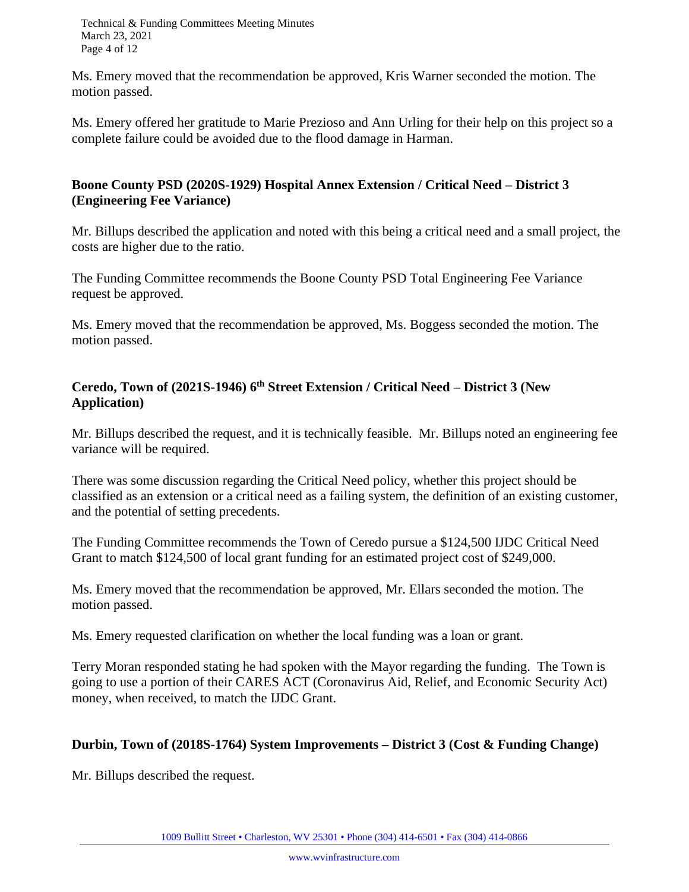Technical & Funding Committees Meeting Minutes March 23, 2021 Page 4 of 12

Ms. Emery moved that the recommendation be approved, Kris Warner seconded the motion. The motion passed.

Ms. Emery offered her gratitude to Marie Prezioso and Ann Urling for their help on this project so a complete failure could be avoided due to the flood damage in Harman.

#### **Boone County PSD (2020S-1929) Hospital Annex Extension / Critical Need – District 3 (Engineering Fee Variance)**

Mr. Billups described the application and noted with this being a critical need and a small project, the costs are higher due to the ratio.

The Funding Committee recommends the Boone County PSD Total Engineering Fee Variance request be approved.

Ms. Emery moved that the recommendation be approved, Ms. Boggess seconded the motion. The motion passed.

### **Ceredo, Town of (2021S-1946) 6 th Street Extension / Critical Need – District 3 (New Application)**

Mr. Billups described the request, and it is technically feasible. Mr. Billups noted an engineering fee variance will be required.

There was some discussion regarding the Critical Need policy, whether this project should be classified as an extension or a critical need as a failing system, the definition of an existing customer, and the potential of setting precedents.

The Funding Committee recommends the Town of Ceredo pursue a \$124,500 IJDC Critical Need Grant to match \$124,500 of local grant funding for an estimated project cost of \$249,000.

Ms. Emery moved that the recommendation be approved, Mr. Ellars seconded the motion. The motion passed.

Ms. Emery requested clarification on whether the local funding was a loan or grant.

Terry Moran responded stating he had spoken with the Mayor regarding the funding. The Town is going to use a portion of their CARES ACT (Coronavirus Aid, Relief, and Economic Security Act) money, when received, to match the IJDC Grant.

#### **Durbin, Town of (2018S-1764) System Improvements – District 3 (Cost & Funding Change)**

Mr. Billups described the request.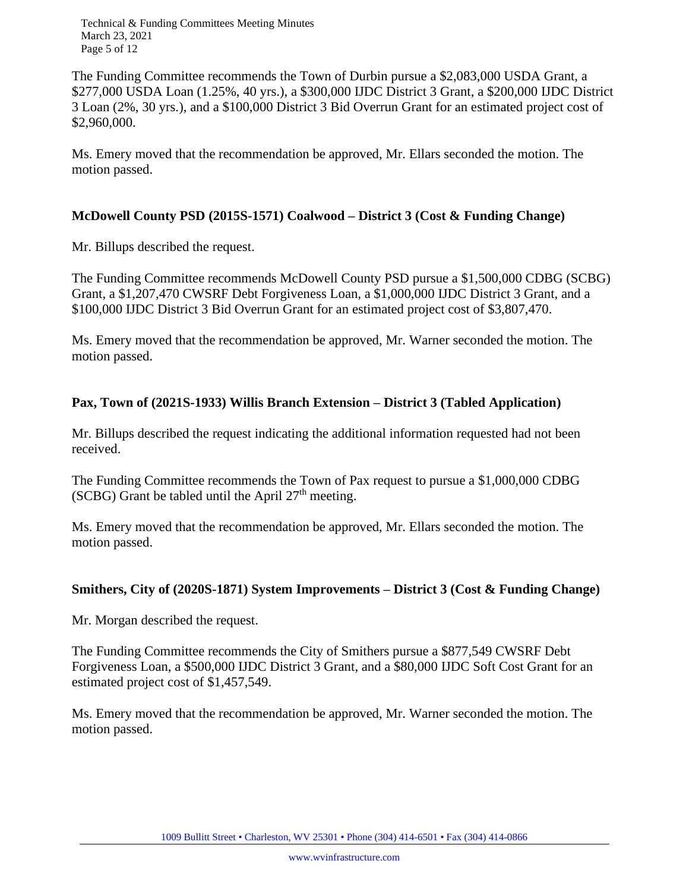Technical & Funding Committees Meeting Minutes March 23, 2021 Page 5 of 12

The Funding Committee recommends the Town of Durbin pursue a \$2,083,000 USDA Grant, a \$277,000 USDA Loan (1.25%, 40 yrs.), a \$300,000 IJDC District 3 Grant, a \$200,000 IJDC District 3 Loan (2%, 30 yrs.), and a \$100,000 District 3 Bid Overrun Grant for an estimated project cost of \$2,960,000.

Ms. Emery moved that the recommendation be approved, Mr. Ellars seconded the motion. The motion passed.

#### **McDowell County PSD (2015S-1571) Coalwood – District 3 (Cost & Funding Change)**

Mr. Billups described the request.

The Funding Committee recommends McDowell County PSD pursue a \$1,500,000 CDBG (SCBG) Grant, a \$1,207,470 CWSRF Debt Forgiveness Loan, a \$1,000,000 IJDC District 3 Grant, and a \$100,000 IJDC District 3 Bid Overrun Grant for an estimated project cost of \$3,807,470.

Ms. Emery moved that the recommendation be approved, Mr. Warner seconded the motion. The motion passed.

#### **Pax, Town of (2021S-1933) Willis Branch Extension – District 3 (Tabled Application)**

Mr. Billups described the request indicating the additional information requested had not been received.

The Funding Committee recommends the Town of Pax request to pursue a \$1,000,000 CDBG (SCBG) Grant be tabled until the April  $27<sup>th</sup>$  meeting.

Ms. Emery moved that the recommendation be approved, Mr. Ellars seconded the motion. The motion passed.

#### **Smithers, City of (2020S-1871) System Improvements – District 3 (Cost & Funding Change)**

Mr. Morgan described the request.

The Funding Committee recommends the City of Smithers pursue a \$877,549 CWSRF Debt Forgiveness Loan, a \$500,000 IJDC District 3 Grant, and a \$80,000 IJDC Soft Cost Grant for an estimated project cost of \$1,457,549.

Ms. Emery moved that the recommendation be approved, Mr. Warner seconded the motion. The motion passed.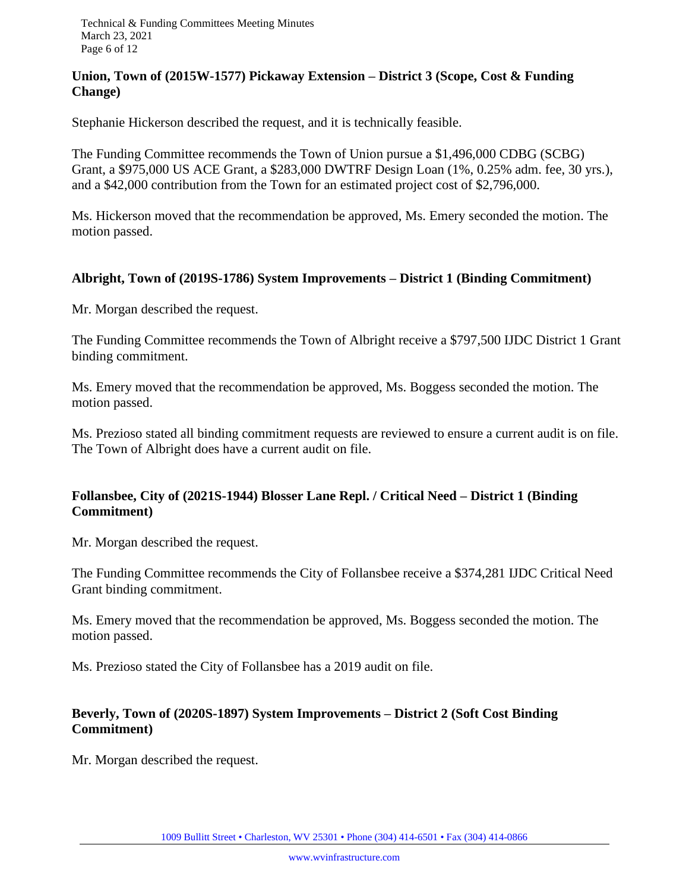#### **Union, Town of (2015W-1577) Pickaway Extension – District 3 (Scope, Cost & Funding Change)**

Stephanie Hickerson described the request, and it is technically feasible.

The Funding Committee recommends the Town of Union pursue a \$1,496,000 CDBG (SCBG) Grant, a \$975,000 US ACE Grant, a \$283,000 DWTRF Design Loan (1%, 0.25% adm. fee, 30 yrs.), and a \$42,000 contribution from the Town for an estimated project cost of \$2,796,000.

Ms. Hickerson moved that the recommendation be approved, Ms. Emery seconded the motion. The motion passed.

#### **Albright, Town of (2019S-1786) System Improvements – District 1 (Binding Commitment)**

Mr. Morgan described the request.

The Funding Committee recommends the Town of Albright receive a \$797,500 IJDC District 1 Grant binding commitment.

Ms. Emery moved that the recommendation be approved, Ms. Boggess seconded the motion. The motion passed.

Ms. Prezioso stated all binding commitment requests are reviewed to ensure a current audit is on file. The Town of Albright does have a current audit on file.

#### **Follansbee, City of (2021S-1944) Blosser Lane Repl. / Critical Need – District 1 (Binding Commitment)**

Mr. Morgan described the request.

The Funding Committee recommends the City of Follansbee receive a \$374,281 IJDC Critical Need Grant binding commitment.

Ms. Emery moved that the recommendation be approved, Ms. Boggess seconded the motion. The motion passed.

Ms. Prezioso stated the City of Follansbee has a 2019 audit on file.

#### **Beverly, Town of (2020S-1897) System Improvements – District 2 (Soft Cost Binding Commitment)**

Mr. Morgan described the request.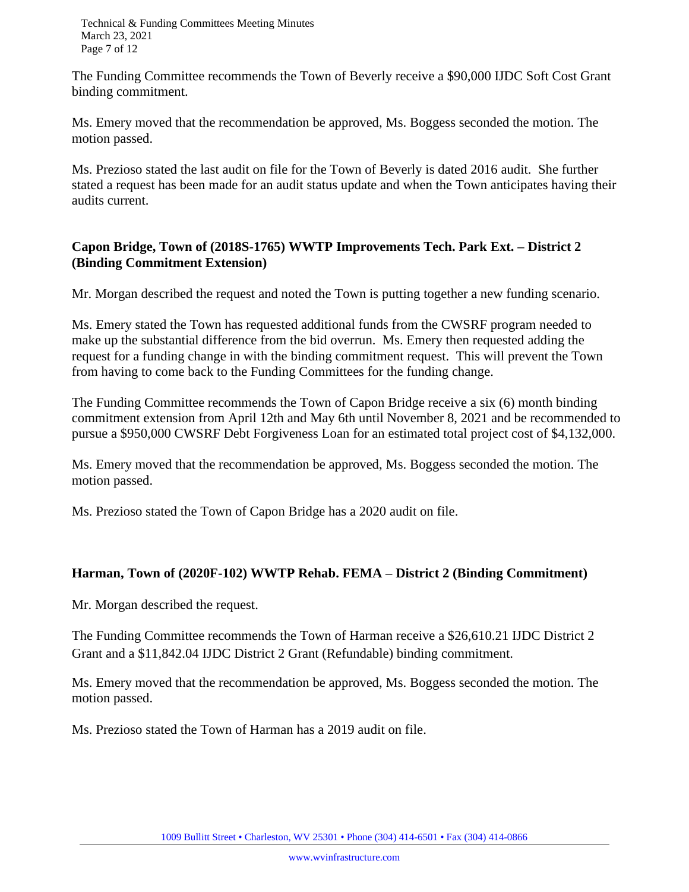Technical & Funding Committees Meeting Minutes March 23, 2021 Page 7 of 12

The Funding Committee recommends the Town of Beverly receive a \$90,000 IJDC Soft Cost Grant binding commitment.

Ms. Emery moved that the recommendation be approved, Ms. Boggess seconded the motion. The motion passed.

Ms. Prezioso stated the last audit on file for the Town of Beverly is dated 2016 audit. She further stated a request has been made for an audit status update and when the Town anticipates having their audits current.

#### **Capon Bridge, Town of (2018S-1765) WWTP Improvements Tech. Park Ext. – District 2 (Binding Commitment Extension)**

Mr. Morgan described the request and noted the Town is putting together a new funding scenario.

Ms. Emery stated the Town has requested additional funds from the CWSRF program needed to make up the substantial difference from the bid overrun. Ms. Emery then requested adding the request for a funding change in with the binding commitment request. This will prevent the Town from having to come back to the Funding Committees for the funding change.

The Funding Committee recommends the Town of Capon Bridge receive a six (6) month binding commitment extension from April 12th and May 6th until November 8, 2021 and be recommended to pursue a \$950,000 CWSRF Debt Forgiveness Loan for an estimated total project cost of \$4,132,000.

Ms. Emery moved that the recommendation be approved, Ms. Boggess seconded the motion. The motion passed.

Ms. Prezioso stated the Town of Capon Bridge has a 2020 audit on file.

#### **Harman, Town of (2020F-102) WWTP Rehab. FEMA – District 2 (Binding Commitment)**

Mr. Morgan described the request.

The Funding Committee recommends the Town of Harman receive a \$26,610.21 IJDC District 2 Grant and a \$11,842.04 IJDC District 2 Grant (Refundable) binding commitment.

Ms. Emery moved that the recommendation be approved, Ms. Boggess seconded the motion. The motion passed.

Ms. Prezioso stated the Town of Harman has a 2019 audit on file.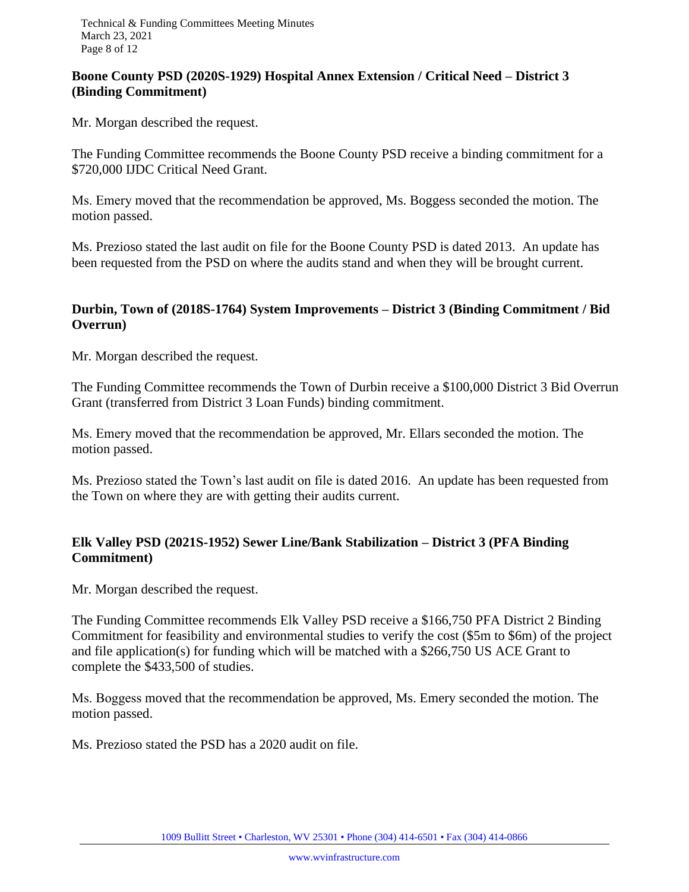#### **Boone County PSD (2020S-1929) Hospital Annex Extension / Critical Need – District 3 (Binding Commitment)**

Mr. Morgan described the request.

The Funding Committee recommends the Boone County PSD receive a binding commitment for a \$720,000 IJDC Critical Need Grant.

Ms. Emery moved that the recommendation be approved, Ms. Boggess seconded the motion. The motion passed.

Ms. Prezioso stated the last audit on file for the Boone County PSD is dated 2013. An update has been requested from the PSD on where the audits stand and when they will be brought current.

#### **Durbin, Town of (2018S-1764) System Improvements – District 3 (Binding Commitment / Bid Overrun)**

Mr. Morgan described the request.

The Funding Committee recommends the Town of Durbin receive a \$100,000 District 3 Bid Overrun Grant (transferred from District 3 Loan Funds) binding commitment.

Ms. Emery moved that the recommendation be approved, Mr. Ellars seconded the motion. The motion passed.

Ms. Prezioso stated the Town's last audit on file is dated 2016. An update has been requested from the Town on where they are with getting their audits current.

#### **Elk Valley PSD (2021S-1952) Sewer Line/Bank Stabilization – District 3 (PFA Binding Commitment)**

Mr. Morgan described the request.

The Funding Committee recommends Elk Valley PSD receive a \$166,750 PFA District 2 Binding Commitment for feasibility and environmental studies to verify the cost (\$5m to \$6m) of the project and file application(s) for funding which will be matched with a \$266,750 US ACE Grant to complete the \$433,500 of studies.

Ms. Boggess moved that the recommendation be approved, Ms. Emery seconded the motion. The motion passed.

Ms. Prezioso stated the PSD has a 2020 audit on file.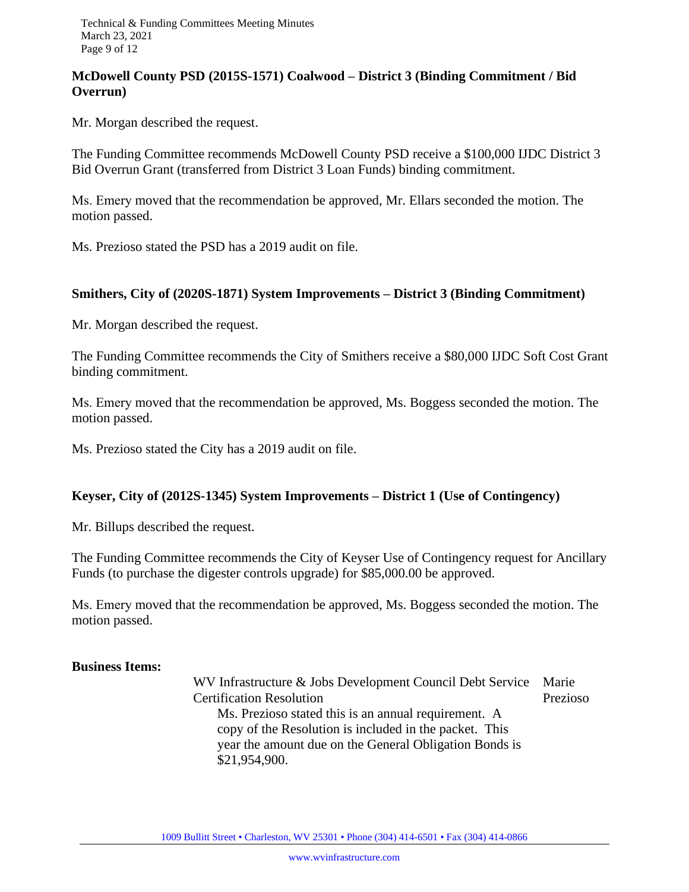#### **McDowell County PSD (2015S-1571) Coalwood – District 3 (Binding Commitment / Bid Overrun)**

Mr. Morgan described the request.

The Funding Committee recommends McDowell County PSD receive a \$100,000 IJDC District 3 Bid Overrun Grant (transferred from District 3 Loan Funds) binding commitment.

Ms. Emery moved that the recommendation be approved, Mr. Ellars seconded the motion. The motion passed.

Ms. Prezioso stated the PSD has a 2019 audit on file.

#### **Smithers, City of (2020S-1871) System Improvements – District 3 (Binding Commitment)**

Mr. Morgan described the request.

The Funding Committee recommends the City of Smithers receive a \$80,000 IJDC Soft Cost Grant binding commitment.

Ms. Emery moved that the recommendation be approved, Ms. Boggess seconded the motion. The motion passed.

Ms. Prezioso stated the City has a 2019 audit on file.

#### **Keyser, City of (2012S-1345) System Improvements – District 1 (Use of Contingency)**

Mr. Billups described the request.

The Funding Committee recommends the City of Keyser Use of Contingency request for Ancillary Funds (to purchase the digester controls upgrade) for \$85,000.00 be approved.

Ms. Emery moved that the recommendation be approved, Ms. Boggess seconded the motion. The motion passed.

#### **Business Items:**

WV Infrastructure & Jobs Development Council Debt Service Marie Certification Resolution Prezioso Ms. Prezioso stated this is an annual requirement. A copy of the Resolution is included in the packet. This year the amount due on the General Obligation Bonds is \$21,954,900.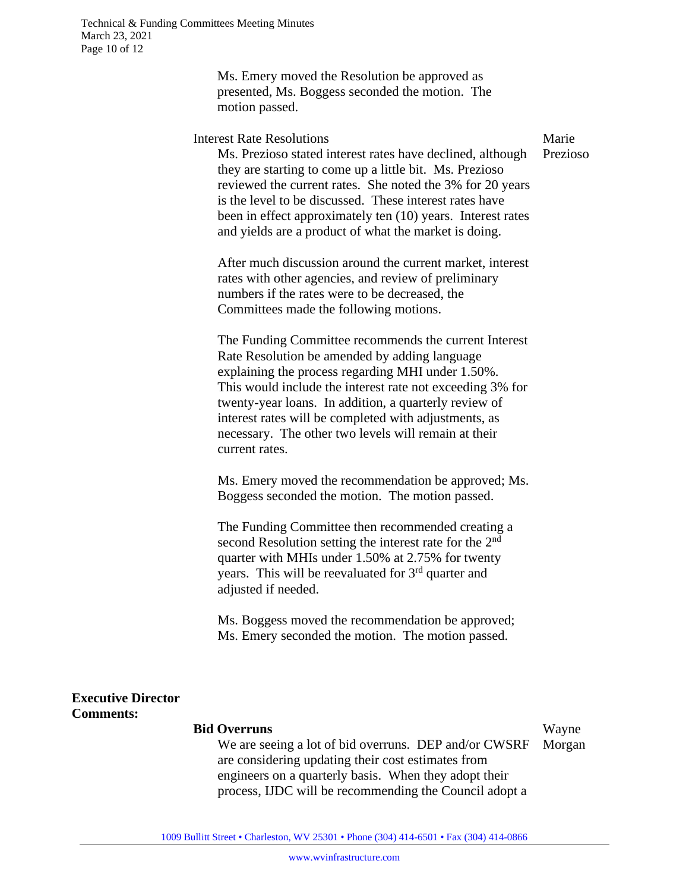Ms. Emery moved the Resolution be approved as presented, Ms. Boggess seconded the motion. The motion passed.

Interest Rate Resolutions

Marie Prezioso

Ms. Prezioso stated interest rates have declined, although they are starting to come up a little bit. Ms. Prezioso reviewed the current rates. She noted the 3% for 20 years is the level to be discussed. These interest rates have been in effect approximately ten (10) years. Interest rates and yields are a product of what the market is doing.

After much discussion around the current market, interest rates with other agencies, and review of preliminary numbers if the rates were to be decreased, the Committees made the following motions.

The Funding Committee recommends the current Interest Rate Resolution be amended by adding language explaining the process regarding MHI under 1.50%. This would include the interest rate not exceeding 3% for twenty-year loans. In addition, a quarterly review of interest rates will be completed with adjustments, as necessary. The other two levels will remain at their current rates.

Ms. Emery moved the recommendation be approved; Ms. Boggess seconded the motion. The motion passed.

The Funding Committee then recommended creating a second Resolution setting the interest rate for the  $2<sup>nd</sup>$ quarter with MHIs under 1.50% at 2.75% for twenty years. This will be reevaluated for 3<sup>rd</sup> quarter and adjusted if needed.

Ms. Boggess moved the recommendation be approved; Ms. Emery seconded the motion. The motion passed.

#### **Executive Director Comments:**

#### **Bid Overruns**

Wayne

We are seeing a lot of bid overruns. DEP and/or CWSRF are considering updating their cost estimates from engineers on a quarterly basis. When they adopt their process, IJDC will be recommending the Council adopt a Morgan

1009 Bullitt Street • Charleston, WV 25301 • Phone (304) 414-6501 • Fax (304) 414-0866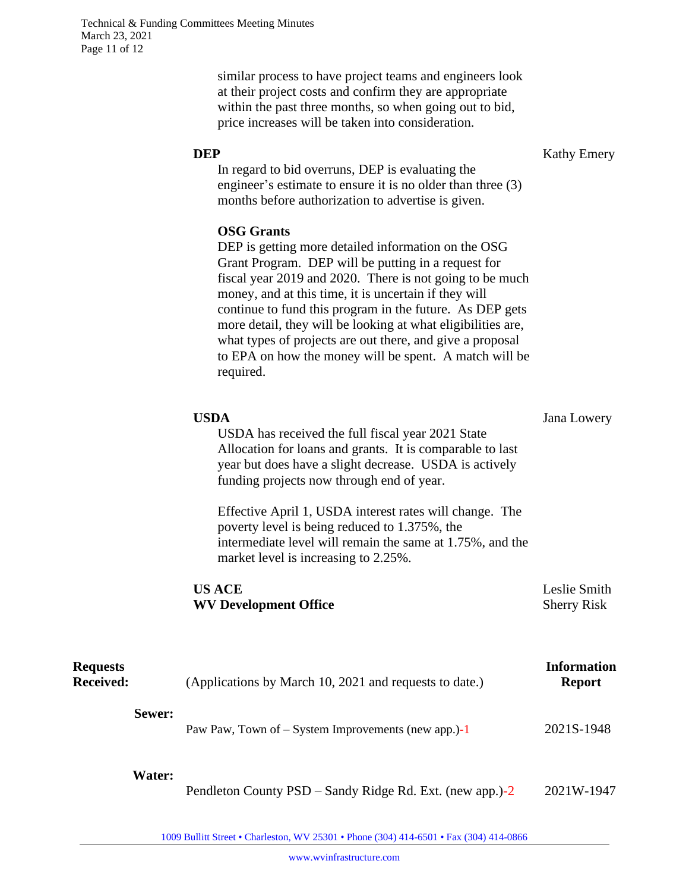similar process to have project teams and engineers look at their project costs and confirm they are appropriate within the past three months, so when going out to bid, price increases will be taken into consideration.

**DEP** Kathy Emery

In regard to bid overruns, DEP is evaluating the engineer's estimate to ensure it is no older than three (3) months before authorization to advertise is given.

#### **OSG Grants**

DEP is getting more detailed information on the OSG Grant Program. DEP will be putting in a request for fiscal year 2019 and 2020. There is not going to be much money, and at this time, it is uncertain if they will continue to fund this program in the future. As DEP gets more detail, they will be looking at what eligibilities are, what types of projects are out there, and give a proposal to EPA on how the money will be spent. A match will be required.

| USDA                                                                                                                                                                                                                  | Jana Lowery                        |
|-----------------------------------------------------------------------------------------------------------------------------------------------------------------------------------------------------------------------|------------------------------------|
| USDA has received the full fiscal year 2021 State<br>Allocation for loans and grants. It is comparable to last<br>year but does have a slight decrease. USDA is actively<br>funding projects now through end of year. |                                    |
| Effective April 1, USDA interest rates will change. The<br>poverty level is being reduced to 1.375%, the<br>intermediate level will remain the same at 1.75%, and the<br>market level is increasing to 2.25%.         |                                    |
| <b>US ACE</b><br><b>WV Development Office</b>                                                                                                                                                                         | Leslie Smith<br><b>Sherry Risk</b> |

| <b>Requests</b><br><b>Received:</b> |               | (Applications by March 10, 2021 and requests to date.) | <b>Information</b><br><b>Report</b> |
|-------------------------------------|---------------|--------------------------------------------------------|-------------------------------------|
|                                     | Sewer:        | Paw Paw, Town of $-$ System Improvements (new app.)-1  | 2021S-1948                          |
|                                     | <b>Water:</b> |                                                        |                                     |

Pendleton County PSD – Sandy Ridge Rd. Ext. (new app.)-2 2021W-1947

1009 Bullitt Street • Charleston, WV 25301 • Phone (304) 414-6501 • Fax (304) 414-0866